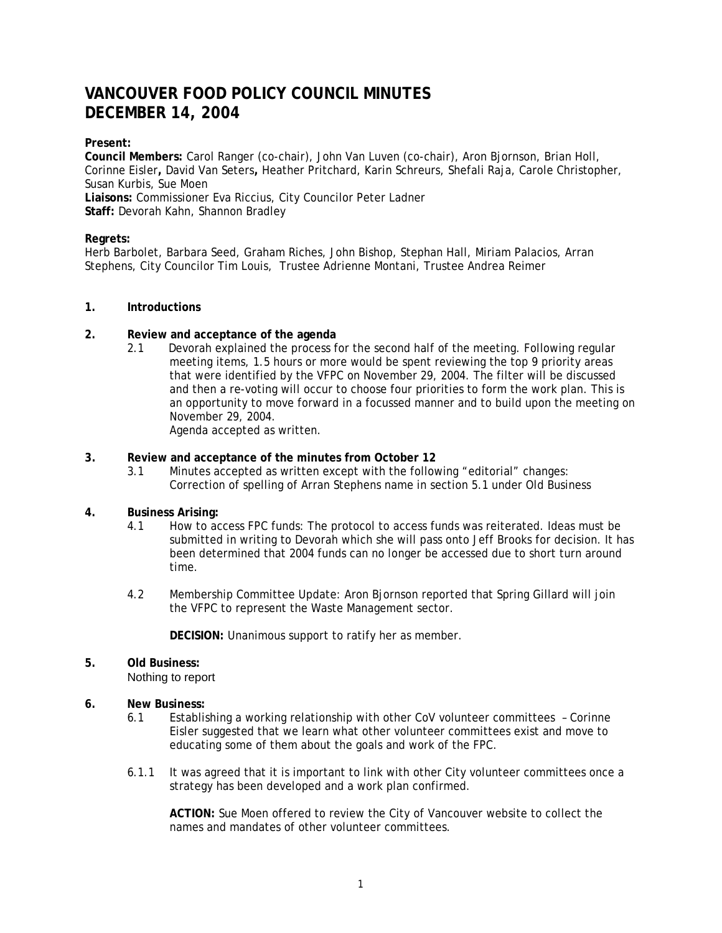# **VANCOUVER FOOD POLICY COUNCIL MINUTES DECEMBER 14, 2004**

## **Present:**

**Council Members:** Carol Ranger (co-chair), John Van Luven (co-chair), Aron Bjornson, Brian Holl, Corinne Eisler**,** David Van Seters**,** Heather Pritchard, Karin Schreurs, Shefali Raja, Carole Christopher, Susan Kurbis, Sue Moen **Liaisons:** Commissioner Eva Riccius, City Councilor Peter Ladner

**Staff:** Devorah Kahn, Shannon Bradley

## **Regrets:**

Herb Barbolet, Barbara Seed, Graham Riches, John Bishop, Stephan Hall, Miriam Palacios, Arran Stephens, City Councilor Tim Louis, Trustee Adrienne Montani, Trustee Andrea Reimer

## **1. Introductions**

- **2. Review and acceptance of the agenda**
	- 2.1 Devorah explained the process for the second half of the meeting. Following regular meeting items, 1.5 hours or more would be spent reviewing the top 9 priority areas that were identified by the VFPC on November 29, 2004. The filter will be discussed and then a re-voting will occur to choose four priorities to form the work plan. This is an opportunity to move forward in a focussed manner and to build upon the meeting on November 29, 2004.

Agenda accepted as written.

## **3. Review and acceptance of the minutes from October 12**

3.1 Minutes accepted as written except with the following "editorial" changes: Correction of spelling of Arran Stephens name in section 5.1 under Old Business

## **4. Business Arising:**

- 4.1 How to access FPC funds: The protocol to access funds was reiterated. Ideas must be submitted in writing to Devorah which she will pass onto Jeff Brooks for decision. It has been determined that 2004 funds can no longer be accessed due to short turn around time.
- 4.2 Membership Committee Update: Aron Bjornson reported that Spring Gillard will join the VFPC to represent the Waste Management sector.

**DECISION:** Unanimous support to ratify her as member.

## **5. Old Business:**

Nothing to report

#### **6. New Business:**

- 6.1 Establishing a working relationship with other CoV volunteer committees Corinne Eisler suggested that we learn what other volunteer committees exist and move to educating some of them about the goals and work of the FPC.
- 6.1.1 It was agreed that it is important to link with other City volunteer committees once a strategy has been developed and a work plan confirmed.

**ACTION:** Sue Moen offered to review the City of Vancouver website to collect the names and mandates of other volunteer committees.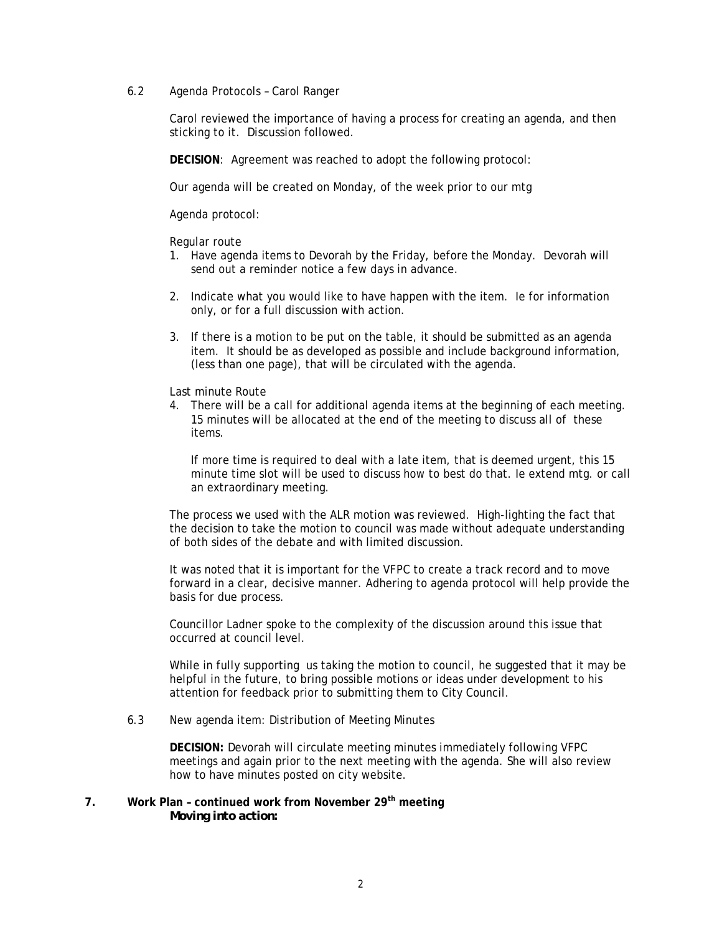6.2 Agenda Protocols – Carol Ranger

Carol reviewed the importance of having a process for creating an agenda, and then sticking to it. Discussion followed.

**DECISION**: Agreement was reached to adopt the following protocol:

Our agenda will be created on Monday, of the week prior to our mtg

Agenda protocol:

Regular route

- 1. Have agenda items to Devorah by the Friday, before the Monday. Devorah will send out a reminder notice a few days in advance.
- 2. Indicate what you would like to have happen with the item. Ie for information only, or for a full discussion with action.
- 3. If there is a motion to be put on the table, it should be submitted as an agenda item. It should be as developed as possible and include background information, (less than one page), that will be circulated with the agenda.

Last minute Route

4. There will be a call for additional agenda items at the beginning of each meeting. 15 minutes will be allocated at the end of the meeting to discuss all of these items.

If more time is required to deal with a late item, that is deemed urgent, this 15 minute time slot will be used to discuss how to best do that. Ie extend mtg. or call an extraordinary meeting.

The process we used with the ALR motion was reviewed. High-lighting the fact that the decision to take the motion to council was made without adequate understanding of both sides of the debate and with limited discussion.

It was noted that it is important for the VFPC to create a track record and to move forward in a clear, decisive manner. Adhering to agenda protocol will help provide the basis for due process.

Councillor Ladner spoke to the complexity of the discussion around this issue that occurred at council level.

While in fully supporting us taking the motion to council, he suggested that it may be helpful in the future, to bring possible motions or ideas under development to his attention for feedback prior to submitting them to City Council.

6.3 New agenda item: Distribution of Meeting Minutes

**DECISION:** Devorah will circulate meeting minutes immediately following VFPC meetings and again prior to the next meeting with the agenda. She will also review how to have minutes posted on city website.

**7. Work Plan – continued work from November 29th meeting**  *Moving into action:*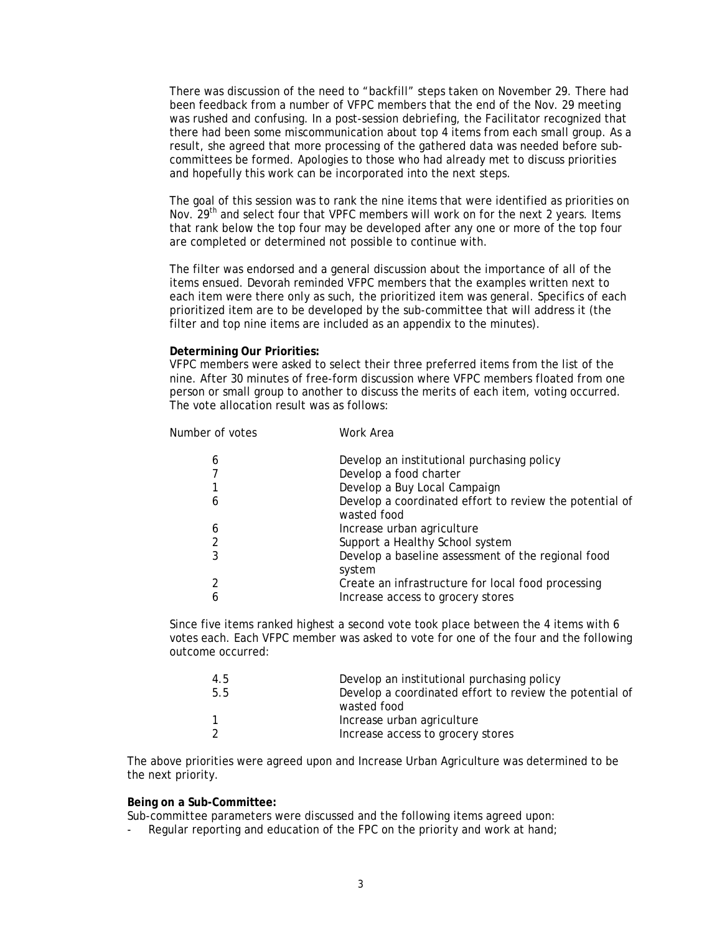There was discussion of the need to "backfill" steps taken on November 29. There had been feedback from a number of VFPC members that the end of the Nov. 29 meeting was rushed and confusing. In a post-session debriefing, the Facilitator recognized that there had been some miscommunication about top 4 items from each small group. As a result, she agreed that more processing of the gathered data was needed before subcommittees be formed. Apologies to those who had already met to discuss priorities and hopefully this work can be incorporated into the next steps.

The goal of this session was to rank the nine items that were identified as priorities on Nov. 29<sup>th</sup> and select four that VPFC members will work on for the next 2 years. Items that rank below the top four may be developed after any one or more of the top four are completed or determined not possible to continue with.

The filter was endorsed and a general discussion about the importance of all of the items ensued. Devorah reminded VFPC members that the examples written next to each item were there only as such, the prioritized item was general. Specifics of each prioritized item are to be developed by the sub-committee that will address it (the filter and top nine items are included as an appendix to the minutes).

#### **Determining Our Priorities:**

VFPC members were asked to select their three preferred items from the list of the nine. After 30 minutes of free-form discussion where VFPC members floated from one person or small group to another to discuss the merits of each item, voting occurred. The vote allocation result was as follows:

| Number of votes | Work Area                                                              |
|-----------------|------------------------------------------------------------------------|
| 6               | Develop an institutional purchasing policy                             |
|                 | Develop a food charter                                                 |
|                 | Develop a Buy Local Campaign                                           |
| 6               | Develop a coordinated effort to review the potential of<br>wasted food |
| 6               | Increase urban agriculture                                             |
| 2               | Support a Healthy School system                                        |
| 3               | Develop a baseline assessment of the regional food<br>system           |
| 2               | Create an infrastructure for local food processing                     |
| 6               | Increase access to grocery stores                                      |

Since five items ranked highest a second vote took place between the 4 items with 6 votes each. Each VFPC member was asked to vote for one of the four and the following outcome occurred:

| 4.5 | Develop an institutional purchasing policy              |
|-----|---------------------------------------------------------|
| 5.5 | Develop a coordinated effort to review the potential of |
|     | wasted food                                             |
|     | Increase urban agriculture                              |
|     | Increase access to grocery stores                       |

The above priorities were agreed upon and Increase Urban Agriculture was determined to be the next priority.

#### **Being on a Sub-Committee:**

Sub-committee parameters were discussed and the following items agreed upon:

- Regular reporting and education of the FPC on the priority and work at hand;